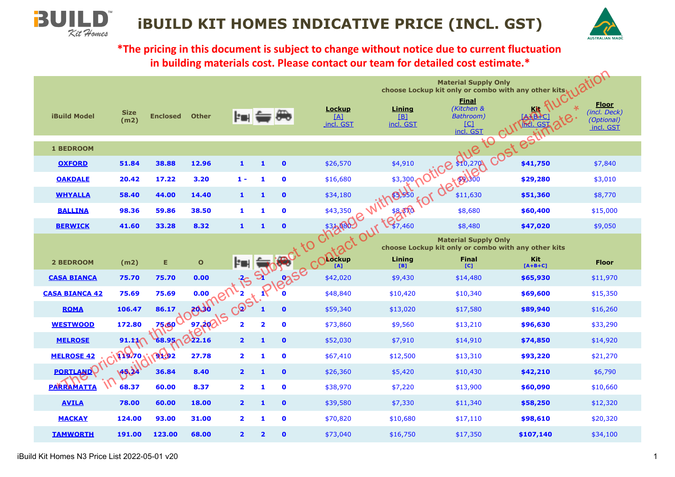

**\*The pricing in this document is subject to change without notice due to current fluctuation in building materials cost. Please contact our team for detailed cost estimate.\***

|                       |                     |                 |              |                         |              |              |                                                                                                                                                                                                                                           |                     | <b>Material Supply Only</b><br>choose Lockup kit only or combo with any other kits |            | ation                                                    |
|-----------------------|---------------------|-----------------|--------------|-------------------------|--------------|--------------|-------------------------------------------------------------------------------------------------------------------------------------------------------------------------------------------------------------------------------------------|---------------------|------------------------------------------------------------------------------------|------------|----------------------------------------------------------|
| <b>iBuild Model</b>   | <b>Size</b><br>(m2) | <b>Enclosed</b> | <b>Other</b> | E E                     |              |              | <b>Lockup</b><br>[4]<br>incl. GST                                                                                                                                                                                                         | Lining<br>incl. GST | <b>Einal</b><br>(Kitchen &<br>restation detectors cost estimates                   | <u>Kit</u> | <b>Floor</b><br>(incl. Deck)<br>(Optional)<br>_incl. GST |
| <b>1 BEDROOM</b>      |                     |                 |              |                         |              |              |                                                                                                                                                                                                                                           |                     |                                                                                    |            |                                                          |
| <b>OXFORD</b>         | 51.84               | 38.88           | 12.96        | $\mathbf{1}$            | 1            | $\bullet$    | \$26,570                                                                                                                                                                                                                                  |                     |                                                                                    |            | \$7,840                                                  |
| <b>OAKDALE</b>        | 20.42               | 17.22           | 3.20         | $1 -$                   | 1            | $\mathbf 0$  | \$16,680                                                                                                                                                                                                                                  |                     |                                                                                    |            | \$3,010                                                  |
| <b>WHYALLA</b>        | 58.40               | 44.00           | 14.40        | $\mathbf{1}$            | $\mathbf{1}$ | $\mathbf{0}$ | \$34,180                                                                                                                                                                                                                                  | ithesisto           |                                                                                    |            | \$8,770                                                  |
| <b>BALLINA</b>        | 98.36               | 59.86           |              |                         |              |              |                                                                                                                                                                                                                                           |                     |                                                                                    |            | \$15,000                                                 |
| <b>BERWICK</b>        | 41.60               | 33.28           |              |                         |              |              |                                                                                                                                                                                                                                           |                     | \$8,480                                                                            | \$47,020   | \$9,050                                                  |
|                       |                     |                 |              |                         |              |              |                                                                                                                                                                                                                                           |                     | <b>Material Supply Only</b><br>choose Lockup kit only or combo with any other kits |            |                                                          |
|                       |                     |                 |              |                         |              |              |                                                                                                                                                                                                                                           |                     | <b>Final</b>                                                                       | <b>Kit</b> |                                                          |
| <b>2 BEDROOM</b>      | (m2)                | Е               |              |                         |              |              |                                                                                                                                                                                                                                           |                     | [C]                                                                                | $[A+B+C]$  | <b>Floor</b>                                             |
| <b>CASA BIANCA</b>    | 75.70               | 75.70           |              |                         |              |              |                                                                                                                                                                                                                                           |                     | \$14,480                                                                           | \$65,930   | \$11,970                                                 |
| <b>CASA BIANCA 42</b> | 75.69               | 75.69           |              |                         |              |              |                                                                                                                                                                                                                                           |                     | \$10,340                                                                           | \$69,600   | \$15,350                                                 |
| <b>ROMA</b>           | 106.47              | 86.17           |              |                         |              |              |                                                                                                                                                                                                                                           |                     | \$17,580                                                                           | \$89,940   | \$16,260                                                 |
| <b>WESTWOOD</b>       | 172.80              | $7560^\circ$    | beoso        |                         |              |              |                                                                                                                                                                                                                                           |                     | \$13,210                                                                           | \$96,630   | \$33,290                                                 |
| <b>MELROSE</b>        | 91.11               | 68.95 22.16     |              |                         |              |              |                                                                                                                                                                                                                                           |                     | \$14,910                                                                           | \$74,850   | \$14,920                                                 |
| <b>MELROSE 42</b>     |                     | $\sqrt{91.92}$  | 27.78        | $\overline{\mathbf{2}}$ | 1            | $\mathbf 0$  | Deadly Cost in Processes Construction of the state of the choice of the choice of the choice of the choice of the choice of the choice of the choice of the choice of the choice of the choice of the choice of the choice of<br>\$67,410 | \$12,500            | \$13,310                                                                           | \$93,220   | \$21,270                                                 |
| <b>PORTLAND</b>       | CIFIDTO<br>45.34    | 36.84           | 8.40         | $\overline{\mathbf{2}}$ | 1            | $\bullet$    | \$26,360                                                                                                                                                                                                                                  | \$5,420             | \$10,430                                                                           | \$42,210   | \$6,790                                                  |
| <b>PARRAMATTA</b>     | 68.37               | 60.00           | 8.37         | $\overline{2}$          | 1            | $\mathbf 0$  | \$38,970                                                                                                                                                                                                                                  | \$7,220             | \$13,900                                                                           | \$60,090   | \$10,660                                                 |
| <b>AVILA</b>          | 78.00               | 60.00           | 18.00        | $\mathbf{2}$            | 1            | $\mathbf{0}$ | \$39,580                                                                                                                                                                                                                                  | \$7,330             | \$11,340                                                                           | \$58,250   | \$12,320                                                 |
| <b>MACKAY</b>         | 124.00              | 93.00           | 31.00        | $\overline{2}$          | 1            | $\mathbf 0$  | \$70,820                                                                                                                                                                                                                                  | \$10,680            | \$17,110                                                                           | \$98,610   | \$20,320                                                 |

**3U** 

Kit Homes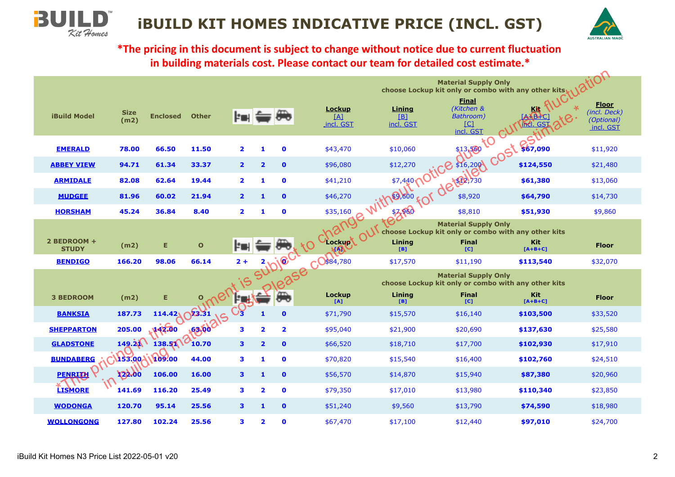



**\*The pricing in this document is subject to change without notice due to current fluctuation in building materials cost. Please contact our team for detailed cost estimate.\***

|                             |                     |                 |                   |                         |                         |                         |                                             |                                     | <b>Material Supply Only</b><br>choose Lockup kit only or combo with any other kits |                         | tion                                                    |
|-----------------------------|---------------------|-----------------|-------------------|-------------------------|-------------------------|-------------------------|---------------------------------------------|-------------------------------------|------------------------------------------------------------------------------------|-------------------------|---------------------------------------------------------|
| <b>iBuild Model</b>         | <b>Size</b><br>(m2) | <b>Enclosed</b> | <b>Other</b>      | E T                     |                         |                         | <b>Lockup</b><br>[4]<br>incl. GST           | <b>Lining</b><br>$[B]$<br>incl. GST | <b>Final</b><br>(Kitchen &<br>Bathroom)<br>$\Box$<br>incl. GST                     |                         | <b>Floor</b><br>(incl. Deck)<br>(Optional)<br>incl. GST |
| <b>EMERALD</b>              | 78.00               | 66.50           | 11.50             | $\overline{2}$          | 1                       | $\mathbf 0$             | \$43,470                                    | \$10,060                            | \$13,580 to                                                                        | \$67,090                | \$11,920                                                |
| <b>ABBEY VIEW</b>           | 94.71               | 61.34           | 33.37             | $\overline{2}$          | $\overline{\mathbf{2}}$ | $\mathbf 0$             | \$96,080                                    | \$12,270                            | 805,012 S                                                                          | \$124,550               | \$21,480                                                |
| <b>ARMIDALE</b>             | 82.08               | 62.64           | 19.44             | $\overline{2}$          | 1                       | $\mathbf 0$             | \$41,210                                    | \$7,440                             | <b>70 FOR DECEMBLE</b>                                                             | \$61,380                | \$13,060                                                |
| <b>MUDGEE</b>               | 81.96               | 60.02           | 21.94             | $\overline{2}$          | $\mathbf{1}$            | $\mathbf 0$             | \$46,270                                    | $*12500$                            |                                                                                    | \$64,790                | \$14,730                                                |
| <b>HORSHAM</b>              | 45.24               | 36.84           | 8.40              | $\overline{\mathbf{2}}$ | 1                       | $\mathbf 0$             | \$35,160                                    | 183960                              | \$8,810                                                                            | \$51,930                | \$9,860                                                 |
|                             |                     |                 |                   |                         |                         |                         | nang                                        |                                     | <b>Material Supply Only</b><br>choose Lockup kit only or combo with any other kits |                         |                                                         |
| 2 BEDROOM +<br><b>STUDY</b> | (m2)                | Е               | $\mathbf{o}$      |                         |                         |                         | Lockypt                                     | Lining<br>[B]                       | <b>Final</b><br>[C]                                                                | <b>Kit</b><br>$[A+B+C]$ | <b>Floor</b>                                            |
| <b>BENDIGO</b>              |                     |                 |                   |                         |                         |                         |                                             |                                     |                                                                                    |                         |                                                         |
|                             | 166.20              | 98.06           | 66.14             | $2 +$                   |                         |                         |                                             | \$17,570                            | \$11,190                                                                           | \$113,540               | \$32,070                                                |
|                             |                     |                 |                   |                         |                         | Subjec                  |                                             |                                     | <b>Material Supply Only</b>                                                        |                         |                                                         |
| <b>3 BEDROOM</b>            | (m2)                | Е               |                   |                         |                         |                         | <b>PROGRESSE</b> CORRECTED<br>Lockup<br>[A] | Lining<br>[B]                       | choose Lockup kit only or combo with any other kits<br><b>Final</b><br>[C]         | Kit<br>$[A+B+C]$        | <b>Floor</b>                                            |
| <b>BANKSIA</b>              | 187.73              | 114.42v         | $\bigcap \, 3.31$ |                         | $\mathbf{1}$            | $\mathbf{o}$            | \$71,790                                    | \$15,570                            | \$16,140                                                                           | \$103,500               | \$33,520                                                |
| <b>SHEPPARTON</b>           | 205.00              | 142.00          | <b>163.60'</b>    | 3                       | $\overline{\mathbf{2}}$ | $\overline{\mathbf{2}}$ | \$95,040                                    | \$21,900                            | \$20,690                                                                           | \$137,630               | \$25,580                                                |
| <b>GLADSTONE</b>            | 149.21              | 138.51          | 10.70             | 3                       | $\overline{\mathbf{2}}$ | $\bullet$               | \$66,520                                    | \$18,710                            | \$17,700                                                                           | \$102,930               | \$17,910                                                |
| <b>BUNDABERG</b>            | 153.00 1109.00      |                 | 44.00             | 3                       | 1                       | $\mathbf 0$             | \$70,820                                    | \$15,540                            | \$16,400                                                                           | \$102,760               | \$24,510                                                |
| <b>PENRITH</b>              | 122.00              | 106.00          | 16.00             | $\mathbf{3}$            | 1                       | $\mathbf 0$             | \$56,570                                    | \$14,870                            | \$15,940                                                                           | \$87,380                | \$20,960                                                |
| <b>LISMORE</b>              | 141.69              | 116.20          | 25.49             | 3                       | $\overline{\mathbf{2}}$ | $\mathbf 0$             | \$79,350                                    | \$17,010                            | \$13,980                                                                           | \$110,340               | \$23,850                                                |
| <b>WODONGA</b>              | 120.70              | 95.14           | 25.56             | 3                       | $\mathbf{1}$            | $\mathbf 0$             | \$51,240                                    | \$9,560                             | \$13,790                                                                           | \$74,590                | \$18,980                                                |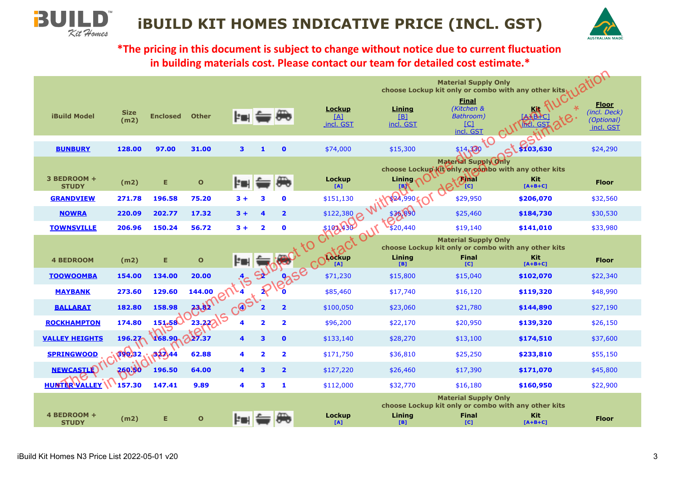

**\*The pricing in this document is subject to change without notice due to current fluctuation in building materials cost. Please contact our team for detailed cost estimate.\***

|                             |                     |                 |                |                    |                         |                         |                                   |                                     | <b>Material Supply Only</b>                                 | choose Lockup kit only or combo with any other kits                           | tion                                                    |
|-----------------------------|---------------------|-----------------|----------------|--------------------|-------------------------|-------------------------|-----------------------------------|-------------------------------------|-------------------------------------------------------------|-------------------------------------------------------------------------------|---------------------------------------------------------|
| <b>iBuild Model</b>         | <b>Size</b><br>(m2) | <b>Enclosed</b> | <b>Other</b>   | <b>Per to the </b> |                         |                         | <b>Lockup</b><br>[4]<br>incl. GST | Lining<br>[ <b>B</b> ]<br>incl. GST | <b>Final</b><br>(Kitchen &<br>Bathroom)<br>[C]<br>incl. GST | KÆ                                                                            | <b>Floor</b><br>(incl. Deck)<br>(Optional)<br>incl. GST |
| <b>BUNBURY</b>              | 128.00              | 97.00           | 31.00          | 3                  | $\mathbf{1}$            | $\mathbf 0$             | \$74,000                          | \$15,300                            | TO<br>\$14,330                                              | \$103,630                                                                     | \$24,290                                                |
| 3 BEDROOM +<br><b>STUDY</b> | (m2)                | E.              | $\mathbf{o}$   | Þι                 |                         |                         | Lockup<br>[A]                     | Lining<br>[B]                       | <b>Material Supply Only</b><br><b>AMT</b><br>'tc]           | choose Lockup kit only arcombo with any other kits<br><b>Kit</b><br>$[A+B+C]$ | <b>Floor</b>                                            |
| <b>GRANDVIEW</b>            | 271.78              | 196.58          | 75.20          | $3+$               | 3                       | $\mathbf 0$             | \$151,130                         | \$24,990                            | \$29,950                                                    | \$206,070                                                                     | \$32,560                                                |
| <b>NOWRA</b>                | 220.09              | 202.77          | 17.32          | $3+$               | 4                       | $\overline{\mathbf{2}}$ | \$122,380                         | \$36,890                            | \$25,460                                                    | \$184,730                                                                     | \$30,530                                                |
| <b>TOWNSVILLE</b>           | 206.96              | 150.24          | 56.72          | $3 +$              | $\overline{\mathbf{2}}$ | $\bullet$               | S102430                           | \$20,440                            | \$19,140                                                    | \$141,010                                                                     | \$33,980                                                |
|                             |                     |                 |                |                    |                         |                         |                                   |                                     | <b>Material Supply Only</b>                                 | choose Lockup kit only or combo with any other kits                           |                                                         |
| <b>4 BEDROOM</b>            | (m2)                | Е               | $\mathbf{o}$   |                    |                         |                         | Recking Ct OUT                    | Lining<br>[B]                       | <b>Final</b><br>[C]                                         | <b>Kit</b><br>$[A+B+C]$                                                       | <b>Floor</b>                                            |
| <b>TOOWOOMBA</b>            | 154.00              | 134.00          | 20.00          |                    |                         |                         | Cest. Please com<br>\$71,230      | \$15,800                            | \$15,040                                                    | \$102,070                                                                     | \$22,340                                                |
| <b>MAYBANK</b>              | 273.60              | 129.60          | 144.00         |                    |                         |                         | \$85,460                          | \$17,740                            | \$16,120                                                    | \$119,320                                                                     | \$48,990                                                |
| <b>BALLARAT</b>             | 182.80              | 158.98          | 23.82          |                    |                         |                         | \$100,050                         | \$23,060                            | \$21,780                                                    | \$144,890                                                                     | \$27,190                                                |
| <b>ROCKHAMPTON</b>          | 174.80              | 151.58          | 23.2215        | 4                  | $\overline{\mathbf{2}}$ | $\overline{\mathbf{2}}$ | \$96,200                          | \$22,170                            | \$20,950                                                    | \$139,320                                                                     | \$26,150                                                |
| <b>VALLEY HEIGHTS</b>       | 196.27              | 168.90          | $\Omega$ 27.37 | 4                  | 3                       | $\bullet$               | \$133,140                         | \$28,270                            | \$13,100                                                    | \$174,510                                                                     | \$37,600                                                |
| <b>SPRINGWOOD</b>           | 390,32              | 327.44          | 62.88          | 4                  | $\overline{\mathbf{2}}$ | $\overline{\mathbf{2}}$ | \$171,750                         | \$36,810                            | \$25,250                                                    | \$233,810                                                                     | \$55,150                                                |
| <b>NEWCASTLE</b>            | 260.60              | 196.50          | 64.00          | 4                  | 3                       | $\overline{\mathbf{2}}$ | \$127,220                         | \$26,460                            | \$17,390                                                    | \$171,070                                                                     | \$45,800                                                |
| <b>HUNTER VALLEY \\</b>     | 157.30              | 147.41          | 9.89           | 4                  | 3                       | 1                       | \$112,000                         | \$32,770                            | \$16,180                                                    | \$160,950                                                                     | \$22,900                                                |
| 4 BEDROOM +<br><b>STUDY</b> | (m2)                | Е               | $\mathbf{o}$   | ŀ۱                 |                         |                         | Lockup<br>[A]                     | Lining<br>[B]                       | <b>Material Supply Only</b><br><b>Final</b><br>[C]          | choose Lockup kit only or combo with any other kits<br>Kit:<br>$[A+B+C]$      | <b>Floor</b>                                            |

**3U** 

Kit Homes